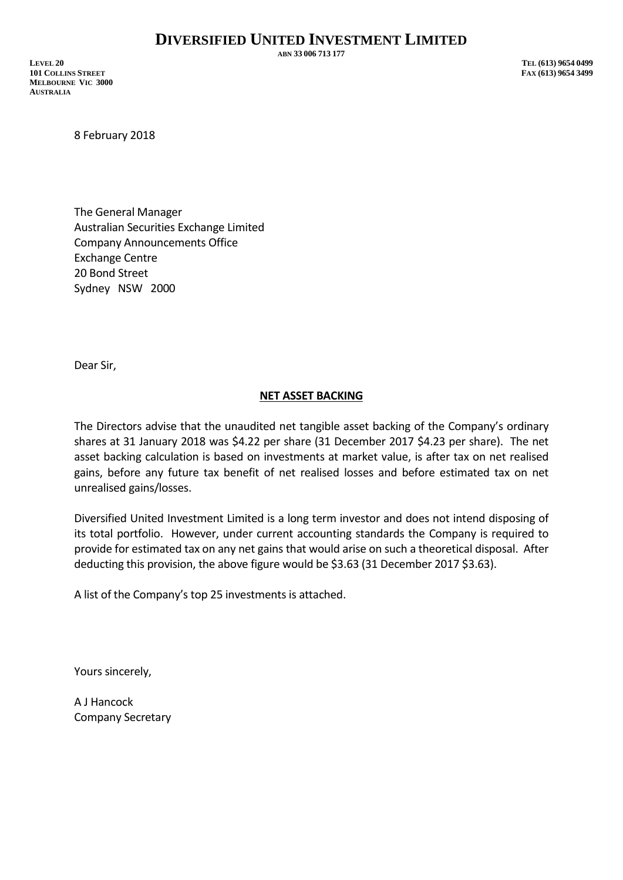**ABN 33 006 713 177**

**LEVEL 20 TEL (613) 9654 0499 101 COLLINS STREET FAX (613) 9654 3499 MELBOURNE VIC 3000 AUSTRALIA**

8 February 2018

The General Manager Australian Securities Exchange Limited Company Announcements Office Exchange Centre 20 Bond Street Sydney NSW 2000

Dear Sir,

## **NET ASSET BACKING**

The Directors advise that the unaudited net tangible asset backing of the Company's ordinary shares at 31 January 2018 was \$4.22 per share (31 December 2017 \$4.23 per share). The net asset backing calculation is based on investments at market value, is after tax on net realised gains, before any future tax benefit of net realised losses and before estimated tax on net unrealised gains/losses.

Diversified United Investment Limited is a long term investor and does not intend disposing of its total portfolio. However, under current accounting standards the Company is required to provide for estimated tax on any net gains that would arise on such a theoretical disposal. After deducting this provision, the above figure would be \$3.63 (31 December 2017 \$3.63).

A list of the Company's top 25 investments is attached.

Yours sincerely,

A J Hancock Company Secretary